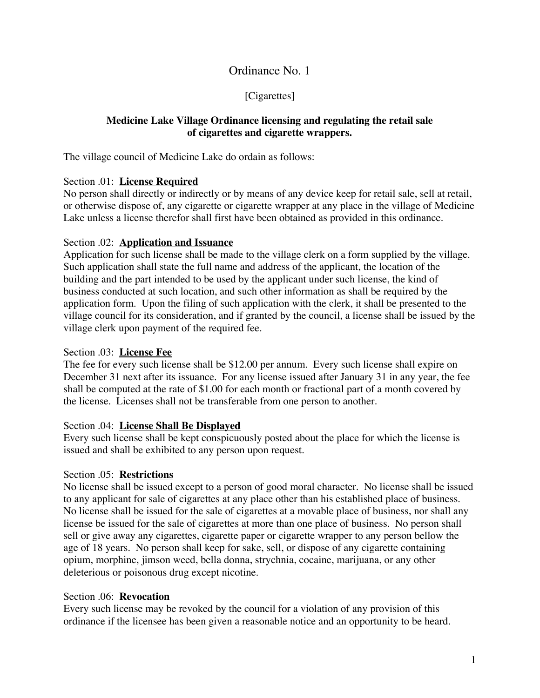# Ordinance No. 1

## [Cigarettes]

### **Medicine Lake Village Ordinance licensing and regulating the retail sale of cigarettes and cigarette wrappers.**

The village council of Medicine Lake do ordain as follows:

### Section .01: **License Required**

No person shall directly or indirectly or by means of any device keep for retail sale, sell at retail, or otherwise dispose of, any cigarette or cigarette wrapper at any place in the village of Medicine Lake unless a license therefor shall first have been obtained as provided in this ordinance.

### Section .02: **Application and Issuance**

Application for such license shall be made to the village clerk on a form supplied by the village. Such application shall state the full name and address of the applicant, the location of the building and the part intended to be used by the applicant under such license, the kind of business conducted at such location, and such other information as shall be required by the application form. Upon the filing of such application with the clerk, it shall be presented to the village council for its consideration, and if granted by the council, a license shall be issued by the village clerk upon payment of the required fee.

#### Section .03: **License Fee**

The fee for every such license shall be \$12.00 per annum. Every such license shall expire on December 31 next after its issuance. For any license issued after January 31 in any year, the fee shall be computed at the rate of \$1.00 for each month or fractional part of a month covered by the license. Licenses shall not be transferable from one person to another.

#### Section .04: **License Shall Be Displayed**

Every such license shall be kept conspicuously posted about the place for which the license is issued and shall be exhibited to any person upon request.

### Section .05: **Restrictions**

No license shall be issued except to a person of good moral character. No license shall be issued to any applicant for sale of cigarettes at any place other than his established place of business. No license shall be issued for the sale of cigarettes at a movable place of business, nor shall any license be issued for the sale of cigarettes at more than one place of business. No person shall sell or give away any cigarettes, cigarette paper or cigarette wrapper to any person bellow the age of 18 years. No person shall keep for sake, sell, or dispose of any cigarette containing opium, morphine, jimson weed, bella donna, strychnia, cocaine, marijuana, or any other deleterious or poisonous drug except nicotine.

### Section .06: **Revocation**

Every such license may be revoked by the council for a violation of any provision of this ordinance if the licensee has been given a reasonable notice and an opportunity to be heard.